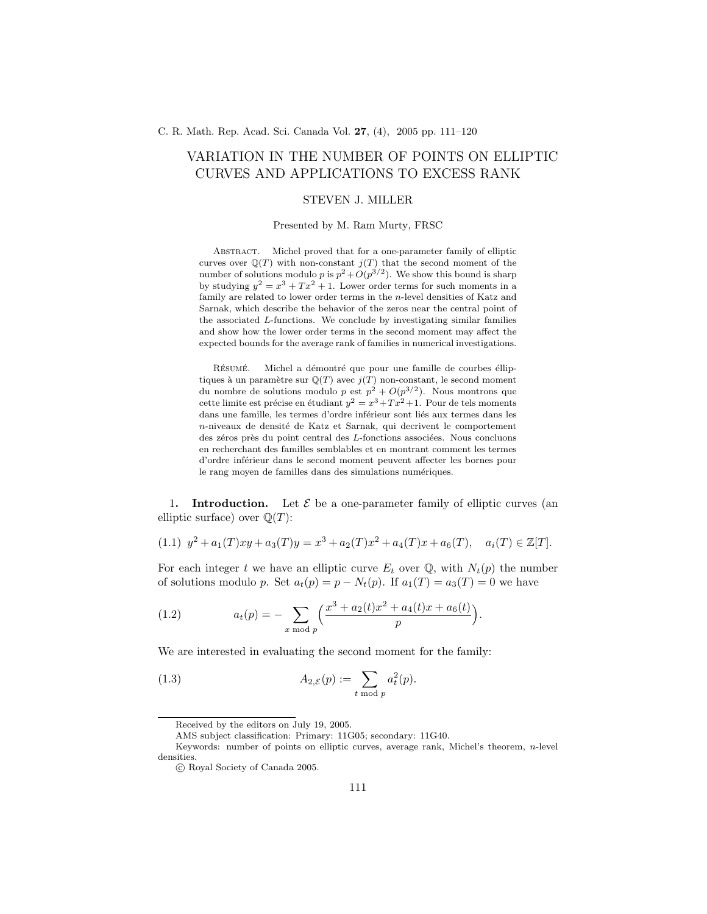C. R. Math. Rep. Acad. Sci. Canada Vol. 27, (4), 2005 pp. 111–120

# VARIATION IN THE NUMBER OF POINTS ON ELLIPTIC CURVES AND APPLICATIONS TO EXCESS RANK

## STEVEN J. MILLER

#### Presented by M. Ram Murty, FRSC

Abstract. Michel proved that for a one-parameter family of elliptic curves over  $\mathbb{Q}(T)$  with non-constant  $j(T)$  that the second moment of the number of solutions modulo p is  $p^2 + O(p^{3/2})$ . We show this bound is sharp by studying  $y^2 = x^3 + Tx^2 + 1$ . Lower order terms for such moments in a family are related to lower order terms in the n-level densities of Katz and Sarnak, which describe the behavior of the zeros near the central point of the associated L-functions. We conclude by investigating similar families and show how the lower order terms in the second moment may affect the expected bounds for the average rank of families in numerical investigations.

RÉSUMÉ. Michel a démontré que pour une famille de courbes élliptiques à un paramètre sur  $\mathbb{Q}(T)$  avec  $j(T)$  non-constant, le second moment du nombre de solutions modulo  $p \text{ est } p^2 + O(p^{3/2})$ . Nous montrons que cette limite est précise en étudiant  $y^2 = x^3 + Tx^2 + 1$ . Pour de tels moments dans une famille, les termes d'ordre inférieur sont liés aux termes dans les n-niveaux de densité de Katz et Sarnak, qui decrivent le comportement des zéros près du point central des  $L$ -fonctions associées. Nous concluons en recherchant des familles semblables et en montrant comment les termes d'ordre inf´erieur dans le second moment peuvent affecter les bornes pour le rang moyen de familles dans des simulations numériques.

1. **Introduction.** Let  $\mathcal{E}$  be a one-parameter family of elliptic curves (an elliptic surface) over  $\mathbb{Q}(T)$ :

$$
(1.1) \ y^2 + a_1(T)xy + a_3(T)y = x^3 + a_2(T)x^2 + a_4(T)x + a_6(T), \quad a_i(T) \in \mathbb{Z}[T].
$$

For each integer t we have an elliptic curve  $E_t$  over  $\mathbb{Q}$ , with  $N_t(p)$  the number of solutions modulo p. Set  $a_t(p) = p - N_t(p)$ . If  $a_1(T) = a_3(T) = 0$  we have

(1.2) 
$$
a_t(p) = -\sum_{x \bmod p} \left( \frac{x^3 + a_2(t)x^2 + a_4(t)x + a_6(t)}{p} \right).
$$

We are interested in evaluating the second moment for the family:

(1.3) 
$$
A_{2,\mathcal{E}}(p) := \sum_{t \bmod p} a_t^2(p).
$$

AMS subject classification: Primary: 11G05; secondary: 11G40.

Received by the editors on July 19, 2005.

Keywords: number of points on elliptic curves, average rank, Michel's theorem,  $n$ -level densities.

c Royal Society of Canada 2005.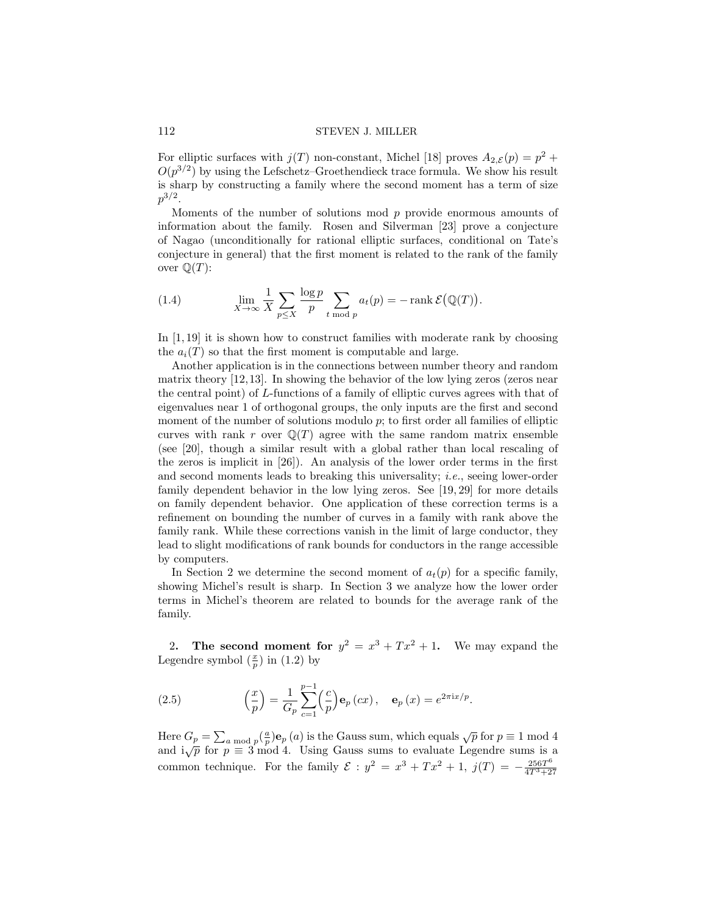For elliptic surfaces with  $j(T)$  non-constant, Michel [18] proves  $A_{2,\mathcal{E}}(p) = p^2 +$  $O(p^{3/2})$  by using the Lefschetz–Groethendieck trace formula. We show his result is sharp by constructing a family where the second moment has a term of size  $p^{3/2}.$ 

Moments of the number of solutions mod p provide enormous amounts of information about the family. Rosen and Silverman [23] prove a conjecture of Nagao (unconditionally for rational elliptic surfaces, conditional on Tate's conjecture in general) that the first moment is related to the rank of the family over  $\mathbb{Q}(T)$ :

(1.4) 
$$
\lim_{X \to \infty} \frac{1}{X} \sum_{p \le X} \frac{\log p}{p} \sum_{t \bmod p} a_t(p) = -\operatorname{rank} \mathcal{E}(\mathbb{Q}(T)).
$$

In  $[1, 19]$  it is shown how to construct families with moderate rank by choosing the  $a_i(T)$  so that the first moment is computable and large.

Another application is in the connections between number theory and random matrix theory [12,13]. In showing the behavior of the low lying zeros (zeros near the central point) of L-functions of a family of elliptic curves agrees with that of eigenvalues near 1 of orthogonal groups, the only inputs are the first and second moment of the number of solutions modulo  $p$ ; to first order all families of elliptic curves with rank r over  $\mathbb{Q}(T)$  agree with the same random matrix ensemble (see [20], though a similar result with a global rather than local rescaling of the zeros is implicit in [26]). An analysis of the lower order terms in the first and second moments leads to breaking this universality; i.e., seeing lower-order family dependent behavior in the low lying zeros. See [19, 29] for more details on family dependent behavior. One application of these correction terms is a refinement on bounding the number of curves in a family with rank above the family rank. While these corrections vanish in the limit of large conductor, they lead to slight modifications of rank bounds for conductors in the range accessible by computers.

In Section 2 we determine the second moment of  $a_t(p)$  for a specific family, showing Michel's result is sharp. In Section 3 we analyze how the lower order terms in Michel's theorem are related to bounds for the average rank of the family.

2. The second moment for  $y^2 = x^3 + Tx^2 + 1$ . We may expand the Legendre symbol  $(\frac{x}{p})$  in  $(1.2)$  by

(2.5) 
$$
\left(\frac{x}{p}\right) = \frac{1}{G_p} \sum_{c=1}^{p-1} \left(\frac{c}{p}\right) \mathbf{e}_p(cx), \quad \mathbf{e}_p(x) = e^{2\pi i x/p}.
$$

Here  $G_p = \sum_{a \bmod p} \left(\frac{a}{p}\right) e_p(a)$  is the Gauss sum, which equals  $\sqrt{p}$  for  $p \equiv 1 \bmod 4$ and  $i\sqrt{p}$  for  $p \equiv 3 \mod 4$ . Using Gauss sums to evaluate Legendre sums is a common technique. For the family  $\mathcal{E} : y^2 = x^3 + Tx^2 + 1$ ,  $j(T) = -\frac{256T^6}{4T^3+2}$  $\frac{4T^3 + 27T^2}{T^2 + 2T^2}$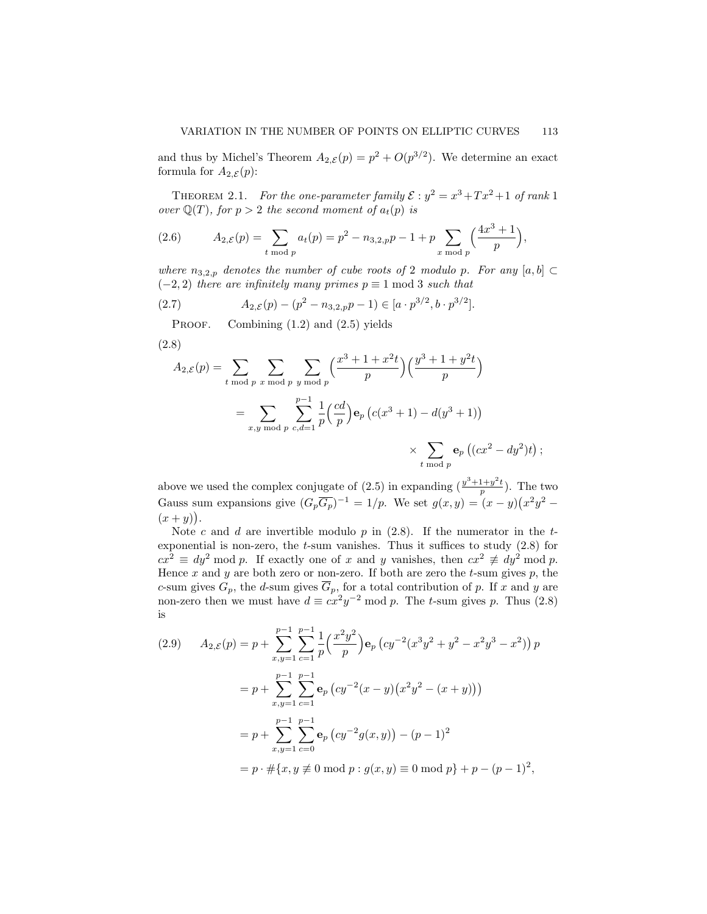and thus by Michel's Theorem  $A_{2,\mathcal{E}}(p) = p^2 + O(p^{3/2})$ . We determine an exact formula for  $A_{2,\mathcal{E}}(p)$ :

THEOREM 2.1. For the one-parameter family  $\mathcal{E}: y^2 = x^3 + Tx^2 + 1$  of rank 1 over  $\mathbb{Q}(T)$ , for  $p > 2$  the second moment of  $a_t(p)$  is

(2.6) 
$$
A_{2,\mathcal{E}}(p) = \sum_{t \bmod p} a_t(p) = p^2 - n_{3,2,p}p - 1 + p \sum_{x \bmod p} \left(\frac{4x^3 + 1}{p}\right),
$$

where  $n_{3,2,p}$  denotes the number of cube roots of 2 modulo p. For any  $[a, b] \subset$  $(-2, 2)$  there are infinitely many primes  $p \equiv 1 \mod 3$  such that

(2.7) 
$$
A_{2,\mathcal{E}}(p) - (p^2 - n_{3,2,p}p - 1) \in [a \cdot p^{3/2}, b \cdot p^{3/2}].
$$

PROOF. Combining  $(1.2)$  and  $(2.5)$  yields

$$
(2.8)
$$

$$
A_{2,\mathcal{E}}(p) = \sum_{t \bmod p} \sum_{x \bmod p} \sum_{y \bmod p} \left(\frac{x^3 + 1 + x^2t}{p}\right) \left(\frac{y^3 + 1 + y^2t}{p}\right)
$$
  
= 
$$
\sum_{x,y \bmod p} \sum_{c,d=1}^{p-1} \frac{1}{p} \left(\frac{cd}{p}\right) \mathbf{e}_p \left(c(x^3 + 1) - d(y^3 + 1)\right)
$$
  

$$
\times \sum_{t \bmod p} \mathbf{e}_p \left((cx^2 - dy^2)t\right);
$$

above we used the complex conjugate of (2.5) in expanding  $(\frac{y^3+1+y^2t}{p})$ . The two Gauss sum expansions give  $(G_p \overline{G_p})^{-1} = 1/p$ . We set  $g(x, y) = (x - y)(x^2y^2 - y^2)$  $(x+y)$ .

Note c and d are invertible modulo  $p$  in (2.8). If the numerator in the  $t$ exponential is non-zero, the  $t$ -sum vanishes. Thus it suffices to study  $(2.8)$  for  $cx^2 \equiv dy^2 \mod p$ . If exactly one of x and y vanishes, then  $cx^2 \not\equiv dy^2 \mod p$ . Hence  $x$  and  $y$  are both zero or non-zero. If both are zero the  $t$ -sum gives  $p$ , the c-sum gives  $G_p$ , the d-sum gives  $\overline{G}_p$ , for a total contribution of p. If x and y are non-zero then we must have  $d \equiv cx^2y^{-2} \mod p$ . The t-sum gives p. Thus (2.8) is

$$
(2.9) \quad A_{2,\mathcal{E}}(p) = p + \sum_{x,y=1}^{p-1} \sum_{c=1}^{p-1} \frac{1}{p} \left(\frac{x^2 y^2}{p}\right) \mathbf{e}_p \left(c y^{-2} (x^3 y^2 + y^2 - x^2 y^3 - x^2)\right) p
$$
\n
$$
= p + \sum_{x,y=1}^{p-1} \sum_{c=1}^{p-1} \mathbf{e}_p \left(c y^{-2} (x - y) (x^2 y^2 - (x + y))\right)
$$
\n
$$
= p + \sum_{x,y=1}^{p-1} \sum_{c=0}^{p-1} \mathbf{e}_p \left(c y^{-2} g(x,y)\right) - (p - 1)^2
$$
\n
$$
= p \cdot \# \{x, y \neq 0 \text{ mod } p : g(x,y) \equiv 0 \text{ mod } p\} + p - (p - 1)^2,
$$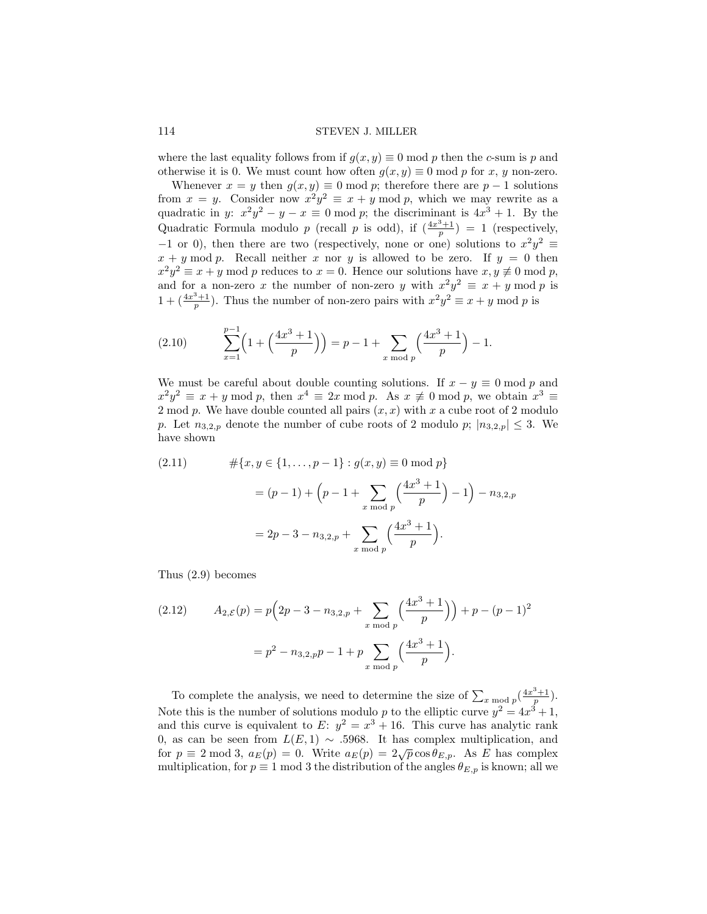where the last equality follows from if  $g(x, y) \equiv 0 \text{ mod } p$  then the c-sum is p and otherwise it is 0. We must count how often  $g(x, y) \equiv 0 \text{ mod } p$  for x, y non-zero.

Whenever  $x = y$  then  $g(x, y) \equiv 0 \mod p$ ; therefore there are  $p - 1$  solutions from  $x = y$ . Consider now  $x^2y^2 \equiv x + y \mod p$ , which we may rewrite as a quadratic in y:  $x^2y^2 - y - x \equiv 0 \mod p$ ; the discriminant is  $4x^3 + 1$ . By the Quadratic Formula modulo p (recall p is odd), if  $\left(\frac{4x^3+1}{p}\right) = 1$  (respectively,  $-1$  or 0), then there are two (respectively, none or one) solutions to  $x^2y^2$  ≡  $x + y \mod p$ . Recall neither x nor y is allowed to be zero. If  $y = 0$  then  $x^2y^2 \equiv x+y \mod p$  reduces to  $x=0$ . Hence our solutions have  $x, y \not\equiv 0 \mod p$ , and for a non-zero x the number of non-zero y with  $x^2y^2 \equiv x + y \mod p$  is  $1 + (\frac{4x^3+1}{p})$ . Thus the number of non-zero pairs with  $x^2y^2 \equiv x+y \mod p$  is

(2.10) 
$$
\sum_{x=1}^{p-1} \left( 1 + \left( \frac{4x^3+1}{p} \right) \right) = p - 1 + \sum_{x \bmod p} \left( \frac{4x^3+1}{p} \right) - 1.
$$

We must be careful about double counting solutions. If  $x - y \equiv 0 \mod p$  and  $x^2y^2 \equiv x + y \mod p$ , then  $x^4 \equiv 2x \mod p$ . As  $x \not\equiv 0 \mod p$ , we obtain  $x^3 \equiv$ 2 mod p. We have double counted all pairs  $(x, x)$  with x a cube root of 2 modulo p. Let  $n_{3,2,p}$  denote the number of cube roots of 2 modulo p;  $|n_{3,2,p}| \leq 3$ . We have shown

(2.11) 
$$
\#\{x, y \in \{1, ..., p-1\} : g(x, y) \equiv 0 \mod p\}
$$

$$
= (p-1) + \left(p - 1 + \sum_{x \mod p} \left(\frac{4x^3 + 1}{p}\right) - 1\right) - n_{3,2,p}
$$

$$
= 2p - 3 - n_{3,2,p} + \sum_{x \mod p} \left(\frac{4x^3 + 1}{p}\right).
$$

Thus (2.9) becomes

(2.12) 
$$
A_{2,\mathcal{E}}(p) = p\left(2p - 3 - n_{3,2,p} + \sum_{x \bmod p} \left(\frac{4x^3 + 1}{p}\right)\right) + p - (p - 1)^2
$$

$$
= p^2 - n_{3,2,p}p - 1 + p \sum_{x \bmod p} \left(\frac{4x^3 + 1}{p}\right).
$$

To complete the analysis, we need to determine the size of  $\sum_{x \bmod p} \left(\frac{4x^3+1}{p}\right)$ . Note this is the number of solutions modulo p to the elliptic curve  $y^2 = 4x^3 + 1$ , and this curve is equivalent to E:  $y^2 = x^3 + 16$ . This curve has analytic rank 0, as can be seen from  $L(E, 1) \sim .5968$ . It has complex multiplication, and for  $p \equiv 2 \mod 3$ ,  $a_E(p) = 0$ . Write  $a_E(p) = 2\sqrt{p} \cos \theta_{E,p}$ . As E has complex multiplication, for  $p \equiv 1 \mod 3$  the distribution of the angles  $\theta_{E,p}$  is known; all we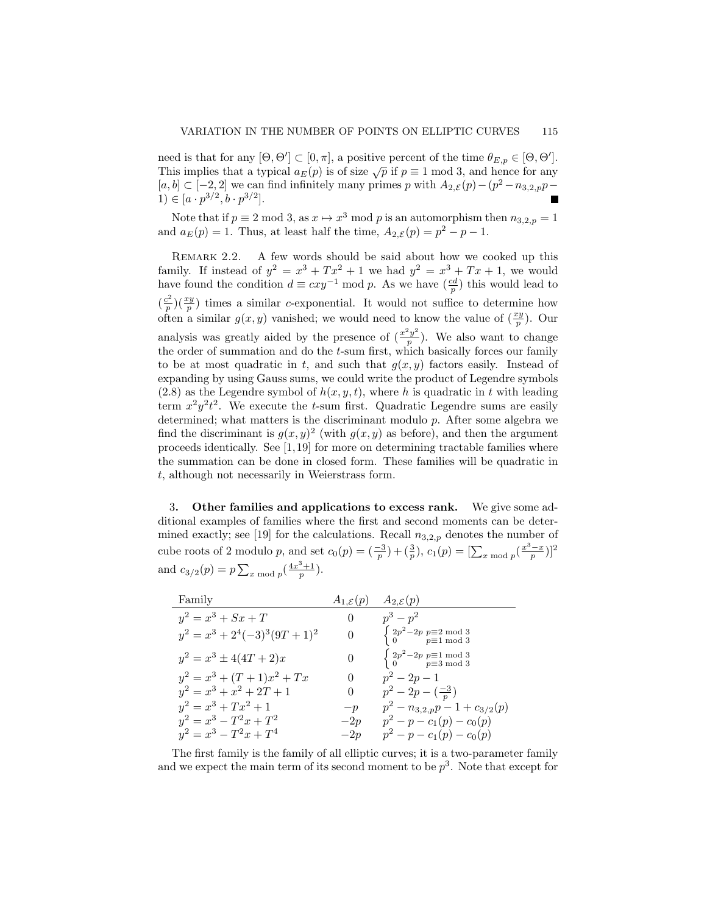need is that for any  $[\Theta, \Theta'] \subset [0, \pi]$ , a positive percent of the time  $\theta_{E,p} \in [\Theta, \Theta']$ . This implies that a typical  $a_E(p)$  is of size  $\sqrt{p}$  if  $p \equiv 1 \mod 3$ , and hence for any  $[a, b] \subset [-2, 2]$  we can find infinitely many primes p with  $A_{2,\mathcal{E}}(p) - (p^2 - n_{3,2,p}p -$ 1)  $\in [a \cdot p^{3/2}, b \cdot p^{3/2}].$ 

Note that if  $p \equiv 2 \mod 3$ , as  $x \mapsto x^3 \mod p$  is an automorphism then  $n_{3,2,p} = 1$ and  $a_E(p) = 1$ . Thus, at least half the time,  $A_{2,\mathcal{E}}(p) = p^2 - p - 1$ .

REMARK 2.2. A few words should be said about how we cooked up this family. If instead of  $y^2 = x^3 + Tx^2 + 1$  we had  $y^2 = x^3 + Tx + 1$ , we would have found the condition  $d \equiv cxy^{-1} \mod p$ . As we have  $(\frac{cd}{p})$  this would lead to  $\left(\frac{c^2}{n}\right)$  $\frac{p^2}{p}$ )( $\frac{xy}{p}$ ) times a similar c-exponential. It would not suffice to determine how often a similar  $g(x, y)$  vanished; we would need to know the value of  $(\frac{xy}{p})$ . Our analysis was greatly aided by the presence of  $\left(\frac{x^2y^2}{n}\right)^2$  $\frac{y}{p}$ ). We also want to change the order of summation and do the t-sum first, which basically forces our family to be at most quadratic in t, and such that  $g(x, y)$  factors easily. Instead of expanding by using Gauss sums, we could write the product of Legendre symbols  $(2.8)$  as the Legendre symbol of  $h(x, y, t)$ , where h is quadratic in t with leading term  $x^2y^2t^2$ . We execute the t-sum first. Quadratic Legendre sums are easily determined; what matters is the discriminant modulo  $p$ . After some algebra we find the discriminant is  $g(x, y)^2$  (with  $g(x, y)$  as before), and then the argument proceeds identically. See [1,19] for more on determining tractable families where the summation can be done in closed form. These families will be quadratic in t, although not necessarily in Weierstrass form.

3. Other families and applications to excess rank. We give some additional examples of families where the first and second moments can be determined exactly; see [19] for the calculations. Recall  $n_{3,2,p}$  denotes the number of cube roots of 2 modulo p, and set  $c_0(p) = \left(\frac{-3}{p}\right) + \left(\frac{3}{p}\right), c_1(p) = \left[\sum_{x \mod p} \left(\frac{x^3 - x}{p}\right)\right]^2$ and  $c_{3/2}(p) = p \sum_{x \bmod p} \left(\frac{4x^3+1}{p}\right)$ .

| Family                          | $A_{1,\mathcal{E}}(p)$ | $A_{2,\mathcal{E}}(p)$                                                                                           |
|---------------------------------|------------------------|------------------------------------------------------------------------------------------------------------------|
| $y^2 = x^3 + Sx + T$            | $\theta$               | $p^3-p^2$                                                                                                        |
| $y^2 = x^3 + 2^4(-3)^3(9T+1)^2$ | $\theta$               | $\begin{cases} 2p^2 - 2p \text{ } p \equiv 2 \text{ mod } 3 \\ 0 \text{ } p \equiv 1 \text{ mod } 3 \end{cases}$ |
| $y^2 = x^3 \pm 4(4T + 2)x$      | $\theta$               | $\begin{cases} 2p^2 - 2p \n\mathop{p \equiv 1 \bmod 3} \\ 0 \n\mathop{p \equiv 3 \bmod 3} \end{cases}$           |
| $y^2 = x^3 + (T+1)x^2 + Tx$     | $\Omega$               | $p^2-2p-1$                                                                                                       |
| $y^2 = x^3 + x^2 + 2T + 1$      | $\theta$               | $p^2-2p-(\frac{-3}{n})$                                                                                          |
| $y^2 = x^3 + Tx^2 + 1$          | $-p$                   | $p^2 - n_{3,2,p}p - 1 + c_{3/2}(p)$                                                                              |
| $y^2 = x^3 - T^2x + T^2$        | $-2p$                  | $p^2-p-c_1(p)-c_0(p)$                                                                                            |
| $y^2 = x^3 - T^2x + T^4$        | $-2p$                  | $p^2-p-c_1(p)-c_0(p)$                                                                                            |

The first family is the family of all elliptic curves; it is a two-parameter family and we expect the main term of its second moment to be  $p^3$ . Note that except for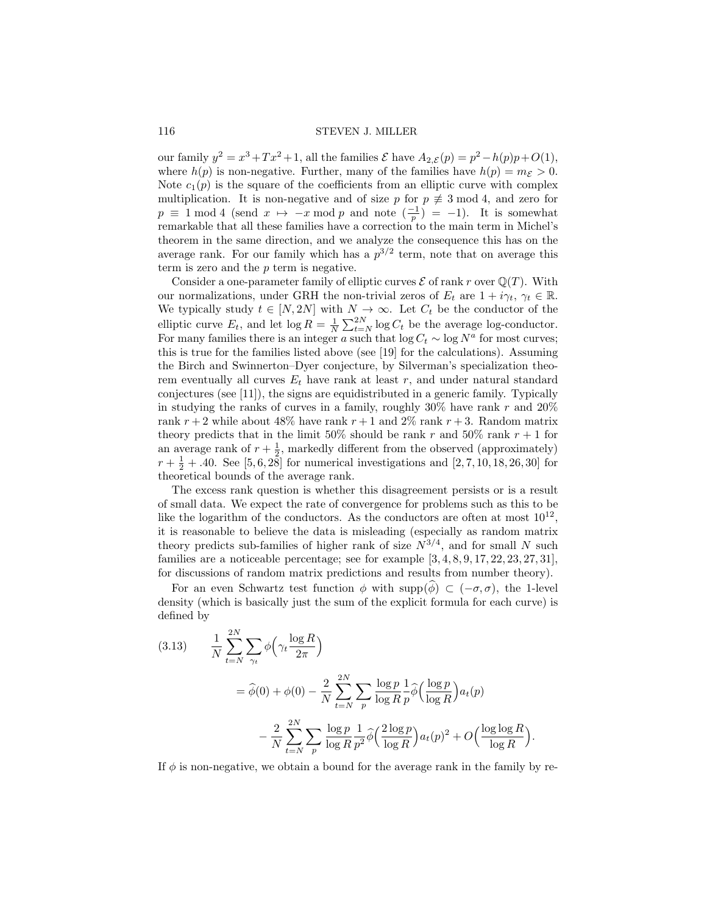our family  $y^2 = x^3 + Tx^2 + 1$ , all the families  $\mathcal{E}$  have  $A_{2,\mathcal{E}}(p) = p^2 - h(p)p + O(1)$ , where  $h(p)$  is non-negative. Further, many of the families have  $h(p) = m_{\mathcal{E}} > 0$ . Note  $c_1(p)$  is the square of the coefficients from an elliptic curve with complex multiplication. It is non-negative and of size p for  $p \not\equiv 3 \mod 4$ , and zero for  $p \equiv 1 \mod 4$  (send  $x \mapsto -x \mod p$  and note  $\left(\frac{-1}{p}\right) = -1$ ). It is somewhat remarkable that all these families have a correction to the main term in Michel's theorem in the same direction, and we analyze the consequence this has on the average rank. For our family which has a  $p^{3/2}$  term, note that on average this term is zero and the p term is negative.

Consider a one-parameter family of elliptic curves  $\mathcal E$  of rank r over  $\mathbb Q(T)$ . With our normalizations, under GRH the non-trivial zeros of  $E_t$  are  $1 + i\gamma_t$ ,  $\gamma_t \in \mathbb{R}$ . We typically study  $t \in [N, 2N]$  with  $N \to \infty$ . Let  $C_t$  be the conductor of the elliptic curve  $E_t$ , and let  $\log R = \frac{1}{N} \sum_{t=N}^{2N} \log C_t$  be the average log-conductor. For many families there is an integer a such that  $\log C_t \sim \log N^a$  for most curves; this is true for the families listed above (see [19] for the calculations). Assuming the Birch and Swinnerton–Dyer conjecture, by Silverman's specialization theorem eventually all curves  $E_t$  have rank at least r, and under natural standard conjectures (see [11]), the signs are equidistributed in a generic family. Typically in studying the ranks of curves in a family, roughly  $30\%$  have rank r and  $20\%$ rank  $r + 2$  while about 48% have rank  $r + 1$  and 2% rank  $r + 3$ . Random matrix theory predicts that in the limit 50% should be rank r and 50% rank  $r + 1$  for an average rank of  $r + \frac{1}{2}$ , markedly different from the observed (approximately)  $r + \frac{1}{2} + .40$ . See [5, 6, 28] for numerical investigations and [2, 7, 10, 18, 26, 30] for theoretical bounds of the average rank.

The excess rank question is whether this disagreement persists or is a result of small data. We expect the rate of convergence for problems such as this to be like the logarithm of the conductors. As the conductors are often at most  $10^{12}$ , it is reasonable to believe the data is misleading (especially as random matrix theory predicts sub-families of higher rank of size  $N^{3/4}$ , and for small N such families are a noticeable percentage; see for example [3, 4, 8, 9, 17, 22, 23, 27, 31], for discussions of random matrix predictions and results from number theory).

For an even Schwartz test function  $\phi$  with supp $(\phi) \subset (-\sigma, \sigma)$ , the 1-level density (which is basically just the sum of the explicit formula for each curve) is defined by

(3.13) 
$$
\frac{1}{N} \sum_{t=N}^{2N} \sum_{\gamma_t} \phi \left( \gamma_t \frac{\log R}{2\pi} \right)
$$

$$
= \widehat{\phi}(0) + \phi(0) - \frac{2}{N} \sum_{t=N}^{2N} \sum_p \frac{\log p}{\log R} \frac{1}{p} \widehat{\phi} \left( \frac{\log p}{\log R} \right) a_t(p)
$$

$$
- \frac{2}{N} \sum_{t=N}^{2N} \sum_p \frac{\log p}{\log R} \frac{1}{p^2} \widehat{\phi} \left( \frac{2\log p}{\log R} \right) a_t(p)^2 + O \left( \frac{\log \log R}{\log R} \right).
$$

If  $\phi$  is non-negative, we obtain a bound for the average rank in the family by re-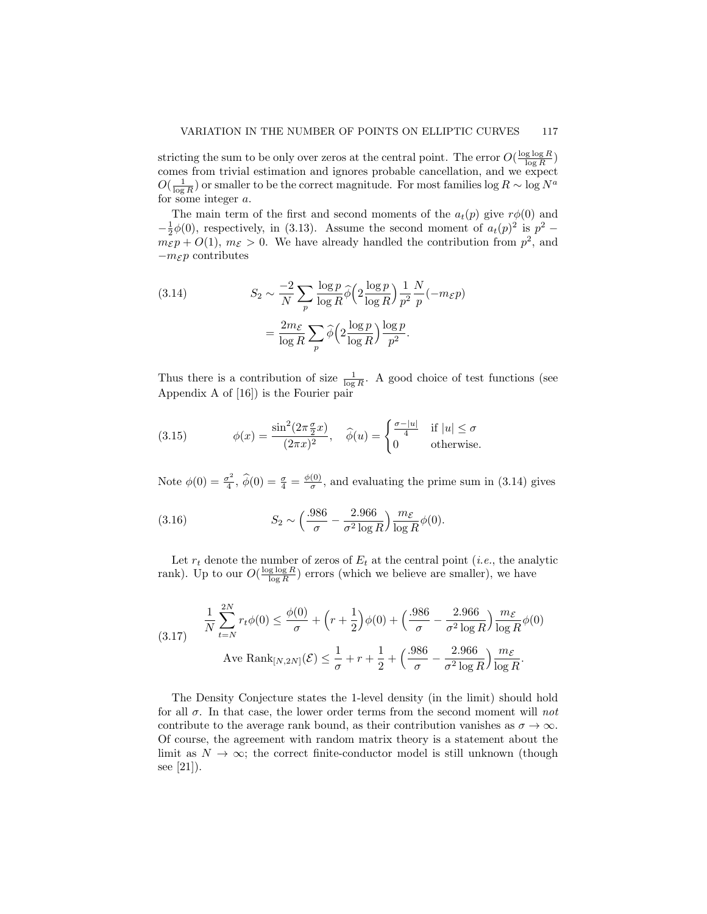stricting the sum to be only over zeros at the central point. The error  $O(\frac{\log \log R}{\log R})$ comes from trivial estimation and ignores probable cancellation, and we expect  $O(\frac{1}{\log R})$  or smaller to be the correct magnitude. For most families  $\log R \sim \log N^a$ for some integer a.

The main term of the first and second moments of the  $a_t(p)$  give  $r\phi(0)$  and  $-\frac{1}{2}\phi(0)$ , respectively, in (3.13). Assume the second moment of  $a_t(p)^2$  is  $p^2$  $m_{\mathcal{E}} p + O(1)$ ,  $m_{\mathcal{E}} > 0$ . We have already handled the contribution from  $p^2$ , and  $-m_{\mathcal{E}} p$  contributes

(3.14) 
$$
S_2 \sim \frac{-2}{N} \sum_p \frac{\log p}{\log R} \widehat{\phi} \left( 2 \frac{\log p}{\log R} \right) \frac{1}{p^2} \frac{N}{p} (-m_{\mathcal{E}} p)
$$

$$
= \frac{2m_{\mathcal{E}}}{\log R} \sum_p \widehat{\phi} \left( 2 \frac{\log p}{\log R} \right) \frac{\log p}{p^2}.
$$

Thus there is a contribution of size  $\frac{1}{\log R}$ . A good choice of test functions (see Appendix A of [16]) is the Fourier pair

(3.15) 
$$
\phi(x) = \frac{\sin^2(2\pi \frac{\sigma}{2}x)}{(2\pi x)^2}, \quad \widehat{\phi}(u) = \begin{cases} \frac{\sigma - |u|}{4} & \text{if } |u| \le \sigma \\ 0 & \text{otherwise.} \end{cases}
$$

Note  $\phi(0) = \frac{\sigma^2}{4}$  $\frac{\sigma^2}{4}, \ \hat{\phi}(0) = \frac{\sigma}{4} = \frac{\phi(0)}{\sigma}$  $\frac{(0)}{\sigma}$ , and evaluating the prime sum in (3.14) gives

(3.16) 
$$
S_2 \sim \left(\frac{.986}{\sigma} - \frac{2.966}{\sigma^2 \log R}\right) \frac{m_{\mathcal{E}}}{\log R} \phi(0).
$$

Let  $r_t$  denote the number of zeros of  $E_t$  at the central point (*i.e.*, the analytic rank). Up to our  $O(\frac{\log \log R}{\log R})$  errors (which we believe are smaller), we have

(3.17) 
$$
\frac{1}{N} \sum_{t=N}^{2N} r_t \phi(0) \le \frac{\phi(0)}{\sigma} + \left(r + \frac{1}{2}\right) \phi(0) + \left(\frac{.986}{\sigma} - \frac{2.966}{\sigma^2 \log R}\right) \frac{m_{\mathcal{E}}}{\log R} \phi(0)
$$
  
Ave  $\text{Rank}_{[N,2N]}(\mathcal{E}) \le \frac{1}{\sigma} + r + \frac{1}{2} + \left(\frac{.986}{\sigma} - \frac{2.966}{\sigma^2 \log R}\right) \frac{m_{\mathcal{E}}}{\log R}.$ 

The Density Conjecture states the 1-level density (in the limit) should hold for all  $\sigma$ . In that case, the lower order terms from the second moment will not contribute to the average rank bound, as their contribution vanishes as  $\sigma \to \infty$ . Of course, the agreement with random matrix theory is a statement about the limit as  $N \to \infty$ ; the correct finite-conductor model is still unknown (though see [21]).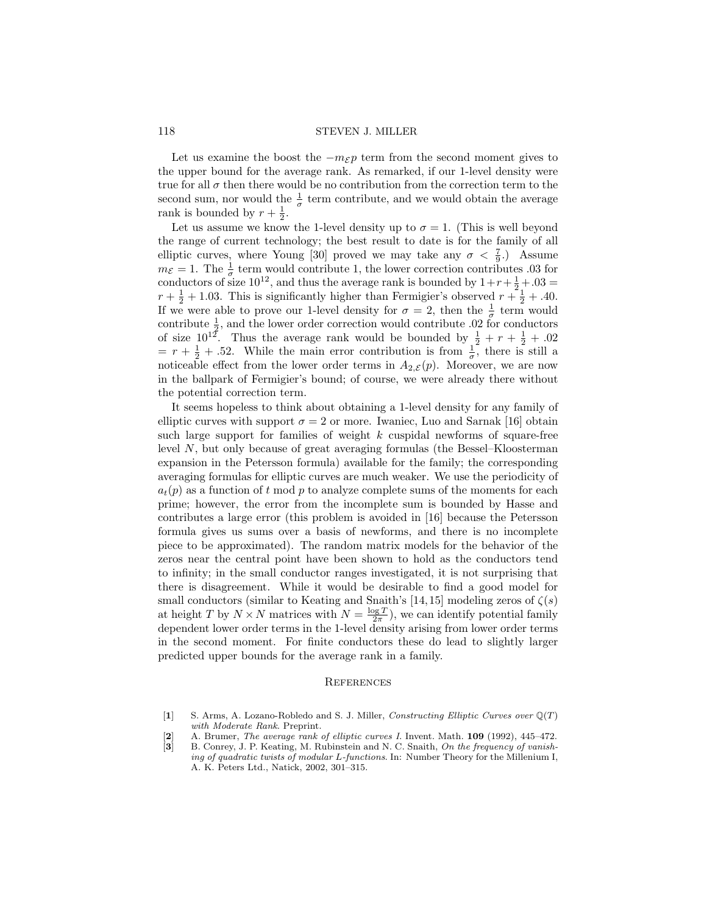Let us examine the boost the  $-m_{\mathcal{E}}p$  term from the second moment gives to the upper bound for the average rank. As remarked, if our 1-level density were true for all  $\sigma$  then there would be no contribution from the correction term to the second sum, nor would the  $\frac{1}{\sigma}$  term contribute, and we would obtain the average rank is bounded by  $r + \frac{1}{2}$ .

Let us assume we know the 1-level density up to  $\sigma = 1$ . (This is well beyond the range of current technology; the best result to date is for the family of all elliptic curves, where Young [30] proved we may take any  $\sigma < \frac{7}{9}$ . Assume  $m_{\mathcal{E}} = 1$ . The  $\frac{1}{\sigma}$  term would contribute 1, the lower correction contributes 03 for conductors of size  $10^{12}$ , and thus the average rank is bounded by  $1+r+\frac{1}{2}+0.03 =$  $r + \frac{1}{2} + 1.03$ . This is significantly higher than Fermigier's observed  $r + \frac{1}{2} + .40$ . If we were able to prove our 1-level density for  $\sigma = 2$ , then the  $\frac{1}{\sigma}$  term would contribute  $\frac{1}{2}$ , and the lower order correction would contribute 0.02 for conductors of size  $10^{12}$ . Thus the average rank would be bounded by  $\frac{1}{2} + r + \frac{1}{2} + .02$  $= r + \frac{1}{2} + .52$ . While the main error contribution is from  $\frac{1}{\sigma}$ , there is still a noticeable effect from the lower order terms in  $A_{2,\mathcal{E}}(p)$ . Moreover, we are now in the ballpark of Fermigier's bound; of course, we were already there without the potential correction term.

It seems hopeless to think about obtaining a 1-level density for any family of elliptic curves with support  $\sigma = 2$  or more. Iwaniec, Luo and Sarnak [16] obtain such large support for families of weight  $k$  cuspidal newforms of square-free level N, but only because of great averaging formulas (the Bessel–Kloosterman expansion in the Petersson formula) available for the family; the corresponding averaging formulas for elliptic curves are much weaker. We use the periodicity of  $a_t(p)$  as a function of t mod p to analyze complete sums of the moments for each prime; however, the error from the incomplete sum is bounded by Hasse and contributes a large error (this problem is avoided in [16] because the Petersson formula gives us sums over a basis of newforms, and there is no incomplete piece to be approximated). The random matrix models for the behavior of the zeros near the central point have been shown to hold as the conductors tend to infinity; in the small conductor ranges investigated, it is not surprising that there is disagreement. While it would be desirable to find a good model for small conductors (similar to Keating and Snaith's [14,15] modeling zeros of  $\zeta(s)$ at height T by  $N \times N$  matrices with  $N = \frac{\log T}{2\pi}$ , we can identify potential family dependent lower order terms in the 1-level density arising from lower order terms in the second moment. For finite conductors these do lead to slightly larger predicted upper bounds for the average rank in a family.

#### **REFERENCES**

[2] A. Brumer, *The average rank of elliptic curves I*. Invent. Math. 109 (1992), 445–472. [3] B. Conrey, J. P. Keating, M. Rubinstein and N. C. Snaith, *On the frequency of vanishing of quadratic twists of modular* L*-functions*. In: Number Theory for the Millenium I, A. K. Peters Ltd., Natick, 2002, 301–315.

<sup>[</sup>1] S. Arms, A. Lozano-Robledo and S. J. Miller, *Constructing Elliptic Curves over* Q(T) *with Moderate Rank*. Preprint.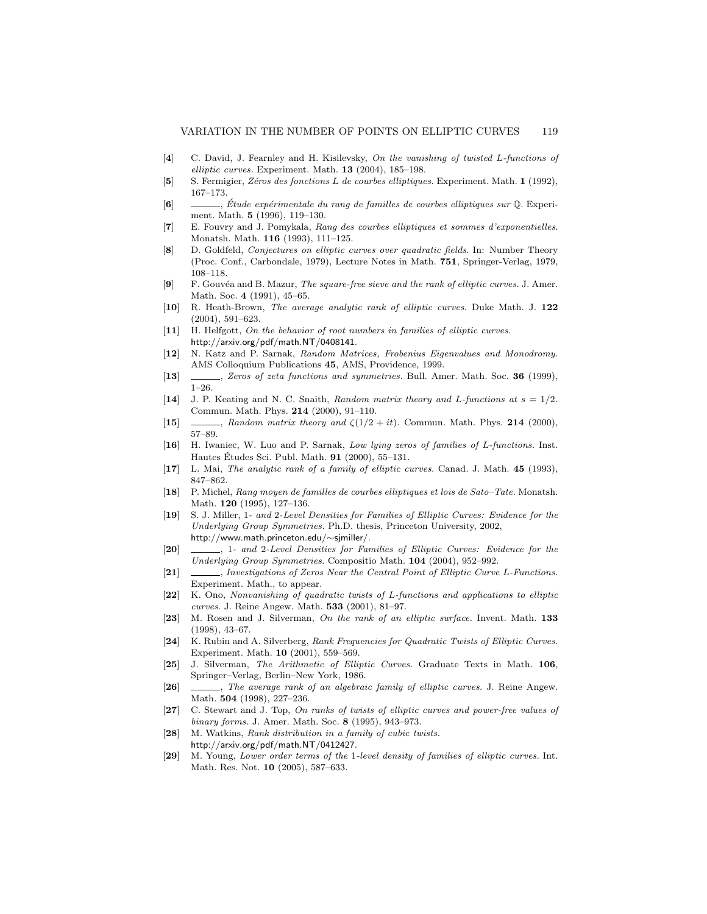- [4] C. David, J. Fearnley and H. Kisilevsky, *On the vanishing of twisted* L*-functions of elliptic curves.* Experiment. Math. 13 (2004), 185–198.
- [5] S. Fermigier, *Z´eros des fonctions* L *de courbes elliptiques.* Experiment. Math. 1 (1992), 167–173.
- [6] , *Etude expérimentale du rang de familles de courbes elliptiques sur* Q. Experiment. Math. 5 (1996), 119–130.
- [7] E. Fouvry and J. Pomykala, *Rang des courbes elliptiques et sommes d'exponentielles*. Monatsh. Math. 116 (1993), 111–125.
- [8] D. Goldfeld, *Conjectures on elliptic curves over quadratic fields.* In: Number Theory (Proc. Conf., Carbondale, 1979), Lecture Notes in Math. 751, Springer-Verlag, 1979, 108–118.
- [9] F. Gouv´ea and B. Mazur, *The square-free sieve and the rank of elliptic curves.* J. Amer. Math. Soc. 4 (1991), 45–65.
- [10] R. Heath-Brown, *The average analytic rank of elliptic curves.* Duke Math. J. 122 (2004), 591–623.
- [11] H. Helfgott, *On the behavior of root numbers in families of elliptic curves.* http://arxiv.org/pdf/math.NT/0408141.
- [12] N. Katz and P. Sarnak, *Random Matrices, Frobenius Eigenvalues and Monodromy.* AMS Colloquium Publications 45, AMS, Providence, 1999.
- [13] , *Zeros of zeta functions and symmetries.* Bull. Amer. Math. Soc. 36 (1999), 1–26.
- [14] J. P. Keating and N. C. Snaith, *Random matrix theory and* L*-functions at* s = 1/2*.* Commun. Math. Phys. 214 (2000), 91–110.
- [15]  $\qquad \qquad$ , *Random matrix theory and*  $\zeta(1/2 + it)$ *.* Commun. Math. Phys. **214** (2000), 57–89.
- [16] H. Iwaniec, W. Luo and P. Sarnak, *Low lying zeros of families of* L*-functions.* Inst. Hautes Études Sci. Publ. Math.  $91$  (2000), 55–131.
- [17] L. Mai, *The analytic rank of a family of elliptic curves.* Canad. J. Math. 45 (1993), 847–862.
- [18] P. Michel, *Rang moyen de familles de courbes elliptiques et lois de Sato–Tate.* Monatsh. Math. 120 (1995), 127–136.
- [19] S. J. Miller, 1 *and* 2*-Level Densities for Families of Elliptic Curves: Evidence for the Underlying Group Symmetries.* Ph.D. thesis, Princeton University, 2002, http://www.math.princeton.edu/∼sjmiller/.
- [20] , 1 *and* 2*-Level Densities for Families of Elliptic Curves: Evidence for the Underlying Group Symmetries*. Compositio Math. 104 (2004), 952–992.
- [21] , *Investigations of Zeros Near the Central Point of Elliptic Curve* L*-Functions.* Experiment. Math., to appear.
- [22] K. Ono, *Nonvanishing of quadratic twists of* L*-functions and applications to elliptic curves*. J. Reine Angew. Math. 533 (2001), 81–97.
- [23] M. Rosen and J. Silverman, *On the rank of an elliptic surface.* Invent. Math. 133 (1998), 43–67.
- [24] K. Rubin and A. Silverberg, *Rank Frequencies for Quadratic Twists of Elliptic Curves.* Experiment. Math. 10 (2001), 559–569.
- [25] J. Silverman, *The Arithmetic of Elliptic Curves.* Graduate Texts in Math. 106, Springer–Verlag, Berlin–New York, 1986.
- [26] , *The average rank of an algebraic family of elliptic curves.* J. Reine Angew. Math. 504 (1998), 227–236.
- [27] C. Stewart and J. Top, *On ranks of twists of elliptic curves and power-free values of binary forms.* J. Amer. Math. Soc. 8 (1995), 943–973.
- [28] M. Watkins, *Rank distribution in a family of cubic twists.* http://arxiv.org/pdf/math.NT/0412427.
- [29] M. Young, *Lower order terms of the* 1*-level density of families of elliptic curves.* Int. Math. Res. Not. 10 (2005), 587–633.